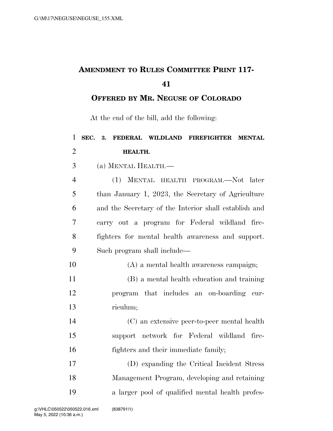## **AMENDMENT TO RULES COMMITTEE PRINT 117-**

**OFFERED BY MR. NEGUSE OF COLORADO**

At the end of the bill, add the following:

| $\mathbf{1}$   | SEC.<br>FEDERAL WILDLAND FIREFIGHTER<br>3.<br><b>MENTAL</b> |
|----------------|-------------------------------------------------------------|
| $\overline{2}$ | HEALTH.                                                     |
| 3              | (a) MENTAL HEALTH.-                                         |
| $\overline{4}$ | (1) MENTAL HEALTH PROGRAM.—Not later                        |
| 5              | than January 1, 2023, the Secretary of Agriculture          |
| 6              | and the Secretary of the Interior shall establish and       |
| 7              | carry out a program for Federal wildland fire-              |
| 8              | fighters for mental health awareness and support.           |
| 9              | Such program shall include—                                 |
| 10             | (A) a mental health awareness campaign;                     |
| 11             | (B) a mental health education and training                  |
| 12             | program that includes an on-boarding cur-                   |
| 13             | riculum;                                                    |
| 14             | (C) an extensive peer-to-peer mental health                 |
| 15             | support network for Federal wildland<br>fire-               |
| 16             | fighters and their immediate family;                        |
| 17             | (D) expanding the Critical Incident Stress                  |
| 18             | Management Program, developing and retaining                |
| 19             | a larger pool of qualified mental health profes-            |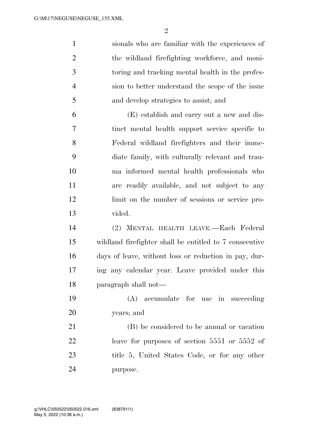$\mathfrak{D}$ 

 sionals who are familiar with the experiences of the wildland firefighting workforce, and moni- toring and tracking mental health in the profes- sion to better understand the scope of the issue and develop strategies to assist; and (E) establish and carry out a new and dis-

 tinct mental health support service specific to Federal wildland firefighters and their imme- diate family, with culturally relevant and trau- ma informed mental health professionals who are readily available, and not subject to any limit on the number of sessions or service pro-vided.

 (2) MENTAL HEALTH LEAVE.—Each Federal wildland firefighter shall be entitled to 7 consecutive days of leave, without loss or reduction in pay, dur- ing any calendar year. Leave provided under this paragraph shall not—

 (A) accumulate for use in succeeding years; and

 (B) be considered to be annual or vacation leave for purposes of section 5551 or 5552 of title 5, United States Code, or for any other purpose.